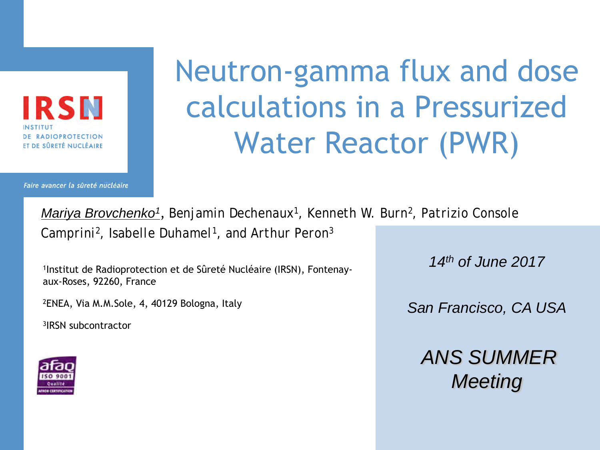IRSN **ADIOPROTECTION** ET DE SÛRETÉ NUCLÉAIRE

Faire avancer la sûreté nucléaire

# Neutron-gamma flux and dose calculations in a Pressurized Water Reactor (PWR)

*Mariya Brovchenko1* , *Benjamin Dechenaux1, Kenneth W. Burn2, Patrizio Console Camprini2, Isabelle Duhamel1, and Arthur Peron3*

1Institut de Radioprotection et de Sûreté Nucléaire (IRSN), Fontenayaux-Roses, 92260, France

2ENEA, Via M.M.Sole, 4, 40129 Bologna, Italy

3IRSN subcontractor



*14th of June 2017*

*San Francisco, CA USA*

*ANS SUMMER Meeting*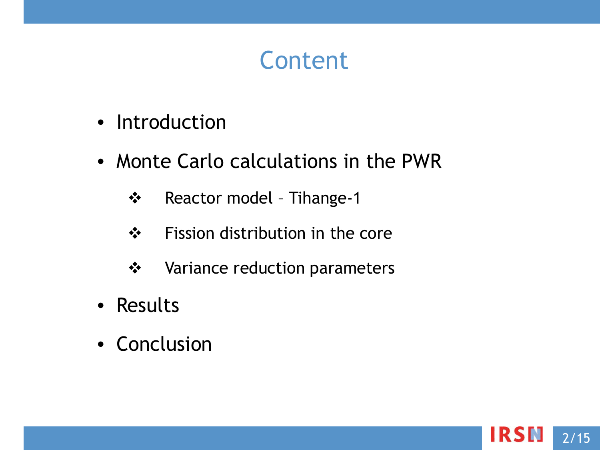# Content

- Introduction
- Monte Carlo calculations in the PWR
	- Reactor model Tihange-1
	- ❖ Fission distribution in the core
	- **❖** Variance reduction parameters
- Results
- Conclusion

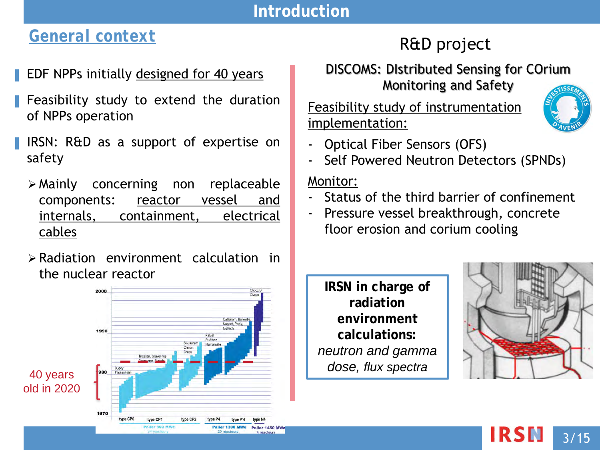#### **Introduction**

# *General context*

#### EDF NPPs initially designed for 40 years

- Feasibility study to extend the duration of NPPs operation
- IRSN: R&D as a support of expertise on safety
	- Mainly concerning non replaceable components: reactor vessel and internals, containment, electrical cables
	- Radiation environment calculation in the nuclear reactor



# R&D project

#### DISCOMS: DIstributed Sensing for COrium Monitoring and Safety

Feasibility study of instrumentation implementation:



- Optical Fiber Sensors (OFS)
- Self Powered Neutron Detectors (SPNDs)

#### Monitor:

- Status of the third barrier of confinement
- Pressure vessel breakthrough, concrete floor erosion and corium cooling

**IRSN in charge of radiation environment calculations:**  *neutron and gamma dose, flux spectra*

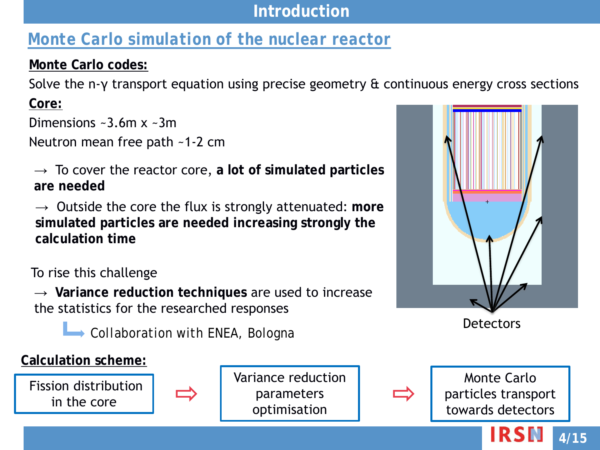#### **Introduction**

# *Monte Carlo simulation of the nuclear reactor*

#### **Monte Carlo codes:**

Solve the n-γ transport equation using precise geometry & continuous energy cross sections

**Core:** 

Dimensions  $\sim$ 3.6m x  $\sim$ 3m

Neutron mean free path ~1-2 cm

 $\rightarrow$  To cover the reactor core, a lot of simulated particles **are needed**

 $\rightarrow$  Outside the core the flux is strongly attenuated: more **simulated particles are needed increasing strongly the calculation time**

To rise this challenge

→ **Variance reduction techniques** are used to increase the statistics for the researched responses

**L** Collaboration with *ENEA*, *Bologna* Detectors

#### **Calculation scheme:**

Fission distribution in the core



Variance reduction parameters optimisation





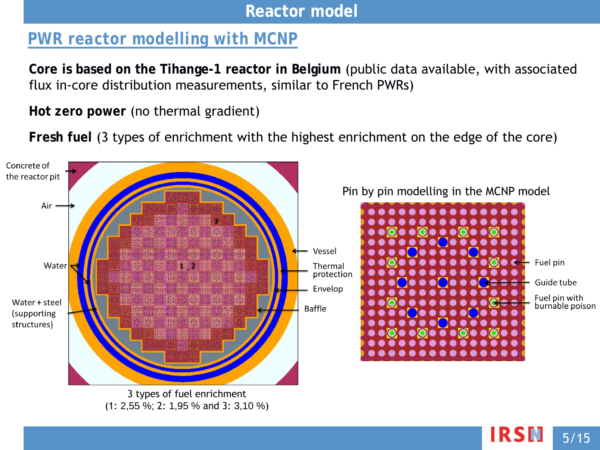#### **Reactor model**

# *PWR reactor modelling with MCNP*

**Core is based on the Tihange-1 reactor in Belgium** (public data available, with associated flux in-core distribution measurements, similar to French PWRs)

**Hot zero power** (no thermal gradient)

**Fresh fuel** (3 types of enrichment with the highest enrichment on the edge of the core)



IRSN 5/15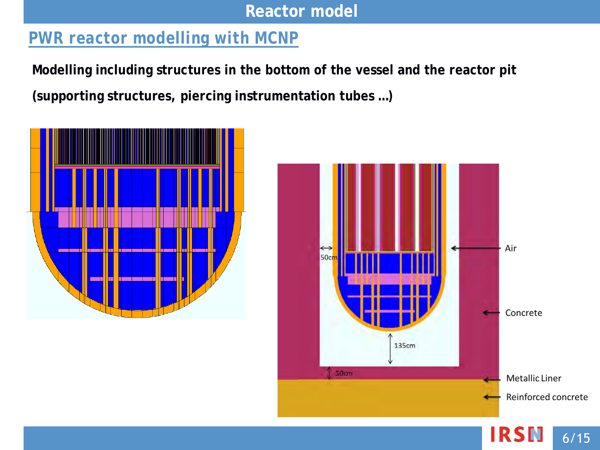**Reactor model**

# *PWR reactor modelling with MCNP*

**Modelling including structures in the bottom of the vessel and the reactor pit (supporting structures, piercing instrumentation tubes …)**



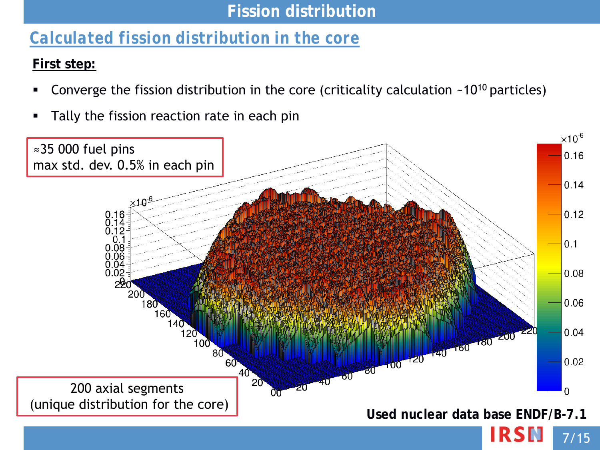### **Fission distribution**

# *Calculated fission distribution in the core*

#### **First step:**

- Converge the fission distribution in the core (criticality calculation  $~10^{10}$  particles)
- **Tally the fission reaction rate in each pin**

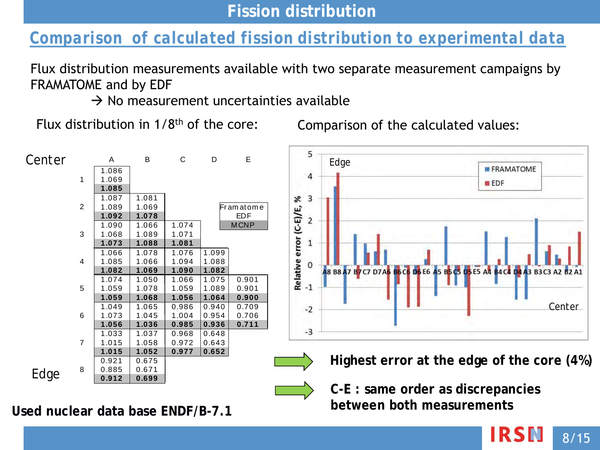# *Comparison of calculated fission distribution to experimental data*

Flux distribution measurements available with two separate measurement campaigns by FRAMATOME and by EDF

 $\rightarrow$  No measurement uncertainties available

Flux distribution in 1/8th of the core:

Comparison of the calculated values:



**Used nuclear data base ENDF/B-7.1**

**C-E : same order as discrepancies between both measurements**

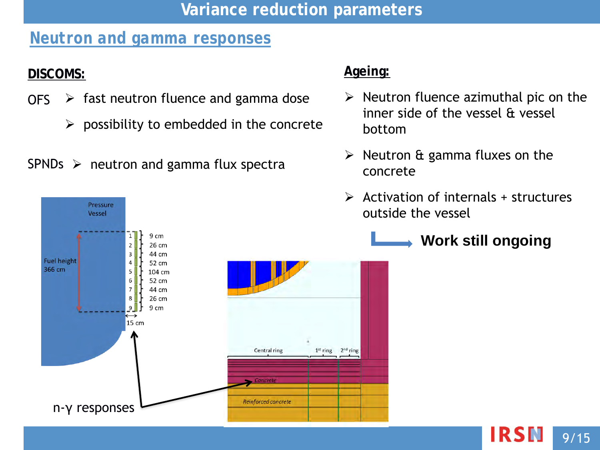#### **Variance reduction parameters**

### *Neutron and gamma responses*

#### **DISCOMS:**

- OFS  $\triangleright$  fast neutron fluence and gamma dose
	- $\triangleright$  possibility to embedded in the concrete

#### SPNDs  $\triangleright$  neutron and gamma flux spectra

Pressure Vessel

#### **Ageing:**

- $\triangleright$  Neutron fluence azimuthal pic on the inner side of the vessel & vessel bottom
- $\triangleright$  Neutron & gamma fluxes on the concrete
- $\triangleright$  Activation of internals + structures outside the vessel
	- **Work still ongoing**



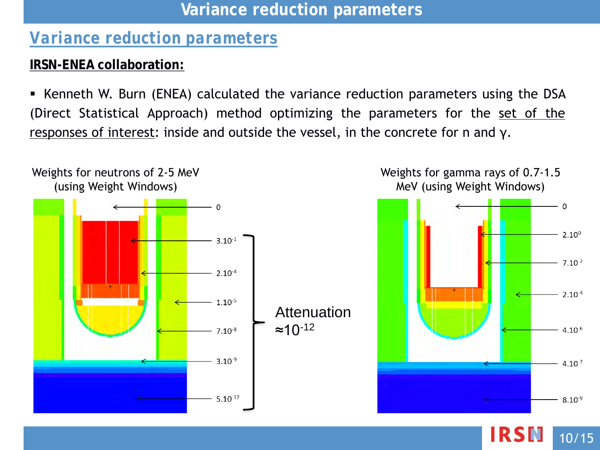#### **Variance reduction parameters**

### *Variance reduction parameters*

#### **IRSN-ENEA collaboration:**

 Kenneth W. Burn (ENEA) calculated the variance reduction parameters using the DSA (Direct Statistical Approach) method optimizing the parameters for the set of the responses of interest: inside and outside the vessel, in the concrete for n and  $y$ .



Weights for gamma rays of 0.7-1.5 MeV (using Weight Windows)

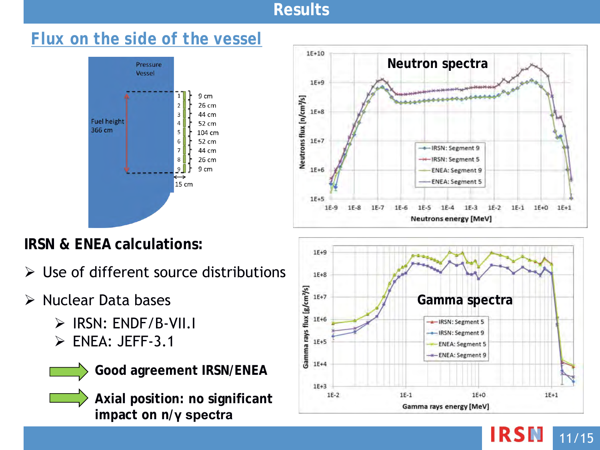## *Flux on the side of the vessel*



# **IRSN & ENEA calculations:**

 $\triangleright$  Use of different source distributions

# $\triangleright$  Nuclear Data bases

- $\triangleright$  IRSN: ENDF/B-VII.I
- $\triangleright$  ENEA: JEFF-3.1



**Axial position: no significant impact on n/γ spectra**





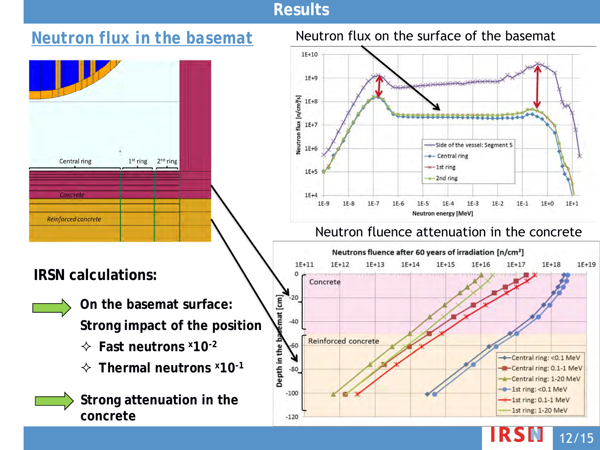

#### *Neutron flux in the basemat* Neutron flux on the surface of the basemat



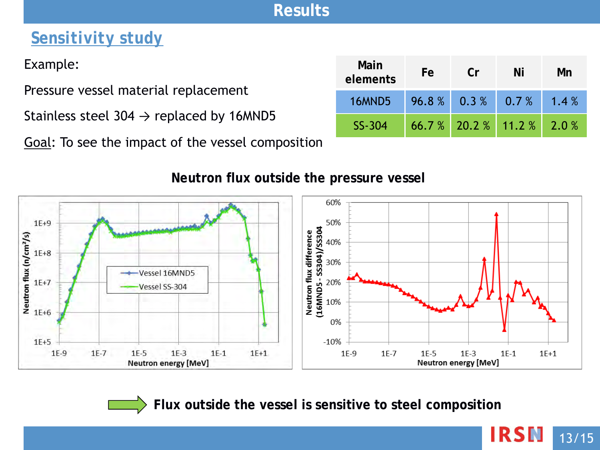# *Sensitivity study*

Example:

Pressure vessel material replacement

Stainless steel 304  $\rightarrow$  replaced by 16MND5

Goal: To see the impact of the vessel composition

| Main<br>elements | Fe | Cr                   | Ni                          | Mn   |
|------------------|----|----------------------|-----------------------------|------|
| 16MND5           |    | $96.8\%$ 0.3 % 0.7 % |                             | 1.4% |
| SS-304           |    |                      | $66.7%$ 20.2 % 11.2 % 2.0 % |      |

13/15

**IRSN** 

#### 60%  $1E+9$ 50% Neutron flux difference<br>(16MND5 - SS304)/SS304<br> $\frac{1}{8}$   $\frac{1}{8}$   $\frac{1}{8}$   $\frac{3}{8}$   $\frac{8}{8}$   $\frac{50}{8}$ Neutron flux (r) $\sqrt{cm^2/s}$ <br>Neutron flux (r) $\frac{1E+8}{1E+6}$ Vessel 16MND5 Vessel SS-304 0%  $1E+5$  $-10%$  $1E-9$  $1E-7$  $1E-5$  $1E-1$  $1E+1$  $1E-9$  $1E-7$  $1E-5$  $1E-3$  $1E-1$  $1E+1$  $1E-3$ Neutron energy [MeV] **Neutron energy [MeV]**

#### **Neutron flux outside the pressure vessel**

**Flux outside the vessel is sensitive to steel composition**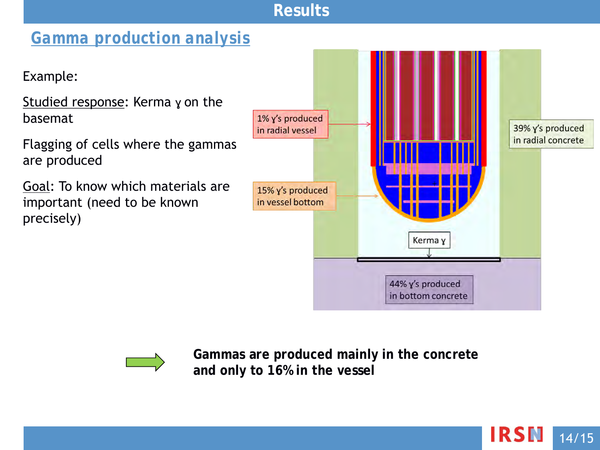# *Gamma production analysis*

Example:

Studied response: Kerma y on the basemat

Flagging of cells where the gammas are produced

Goal: To know which materials are important (need to be known precisely)



14/15

**IRSN** 



**Gammas are produced mainly in the concrete and only to 16% in the vessel**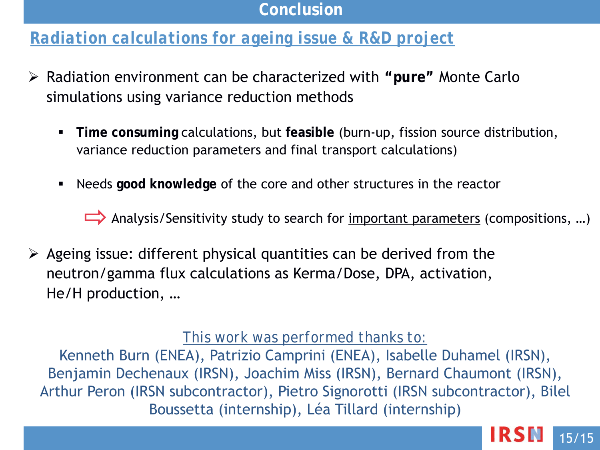#### **Conclusion**

# *Radiation calculations for ageing issue & R&D project*

- Radiation environment can be characterized with **"pure"** Monte Carlo simulations using variance reduction methods
	- **Time consuming** calculations, but **feasible** (burn-up, fission source distribution, variance reduction parameters and final transport calculations)
	- Needs **good knowledge** of the core and other structures in the reactor

Analysis/Sensitivity study to search for <u>important parameters</u> (compositions, ...)

 $\triangleright$  Ageing issue: different physical quantities can be derived from the neutron/gamma flux calculations as Kerma/Dose, DPA, activation, He/H production, …

#### *This work was performed thanks to:*

Kenneth Burn (ENEA), Patrizio Camprini (ENEA), Isabelle Duhamel (IRSN), Benjamin Dechenaux (IRSN), Joachim Miss (IRSN), Bernard Chaumont (IRSN), Arthur Peron (IRSN subcontractor), Pietro Signorotti (IRSN subcontractor), Bilel Boussetta (internship), Léa Tillard (internship)